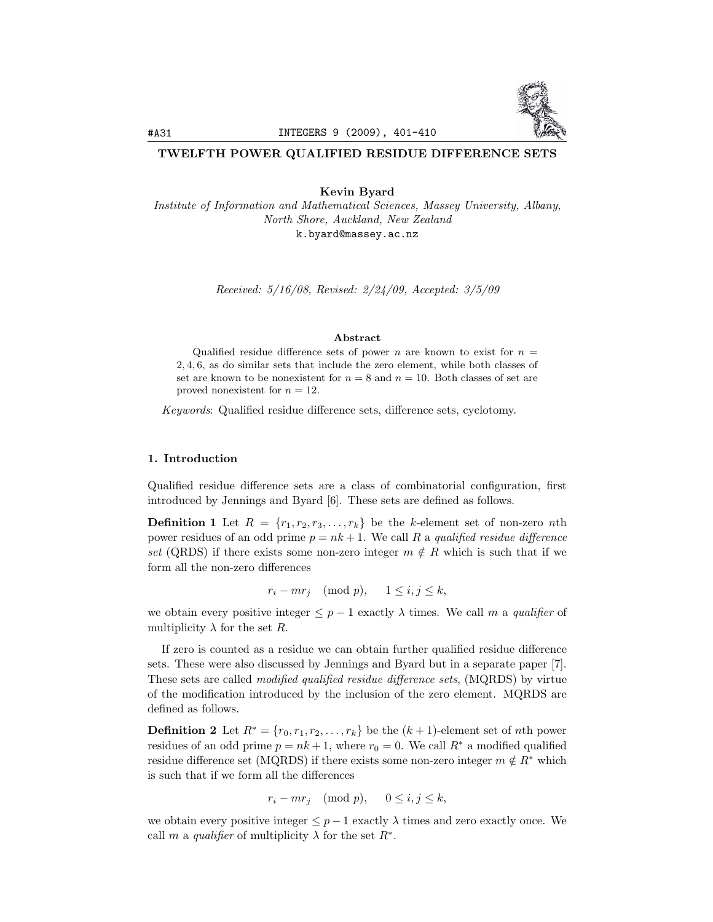

# TWELFTH POWER QUALIFIED RESIDUE DIFFERENCE SETS

Kevin Byard

*Institute of Information and Mathematical Sciences, Massey University, Albany, North Shore, Auckland, New Zealand* k.byard@massey.ac.nz

*Received: 5/16/08, Revised: 2/24/09, Accepted: 3/5/09*

## Abstract

Qualified residue difference sets of power *n* are known to exist for  $n =$ 2*,* 4*,* 6, as do similar sets that include the zero element, while both classes of set are known to be nonexistent for  $n = 8$  and  $n = 10$ . Both classes of set are proved nonexistent for *n* = 12.

*Keywords*: Qualified residue difference sets, difference sets, cyclotomy.

## 1. Introduction

Qualified residue difference sets are a class of combinatorial configuration, first introduced by Jennings and Byard [6]. These sets are defined as follows.

**Definition 1** Let  $R = \{r_1, r_2, r_3, \ldots, r_k\}$  be the *k*-element set of non-zero *n*th power residues of an odd prime  $p = nk + 1$ . We call R a *qualified residue difference set* (QRDS) if there exists some non-zero integer  $m \notin R$  which is such that if we form all the non-zero differences

 $r_i - mr_j \pmod{p}, \quad 1 \leq i, j \leq k,$ 

we obtain every positive integer  $\leq p-1$  exactly  $\lambda$  times. We call m a *qualifier* of multiplicity  $\lambda$  for the set *R*.

If zero is counted as a residue we can obtain further qualified residue difference sets. These were also discussed by Jennings and Byard but in a separate paper [7]. These sets are called *modified qualified residue di*ff*erence sets*, (MQRDS) by virtue of the modification introduced by the inclusion of the zero element. MQRDS are defined as follows.

**Definition 2** Let  $R^* = \{r_0, r_1, r_2, \ldots, r_k\}$  be the  $(k+1)$ -element set of *n*th power residues of an odd prime  $p = nk + 1$ , where  $r_0 = 0$ . We call  $R^*$  a modified qualified residue difference set (MQRDS) if there exists some non-zero integer  $m \notin R^*$  which is such that if we form all the differences

$$
r_i - mr_j \pmod{p}, \qquad 0 \le i, j \le k,
$$

we obtain every positive integer  $\leq p-1$  exactly  $\lambda$  times and zero exactly once. We call *m* a *qualifier* of multiplicity  $\lambda$  for the set  $R^*$ .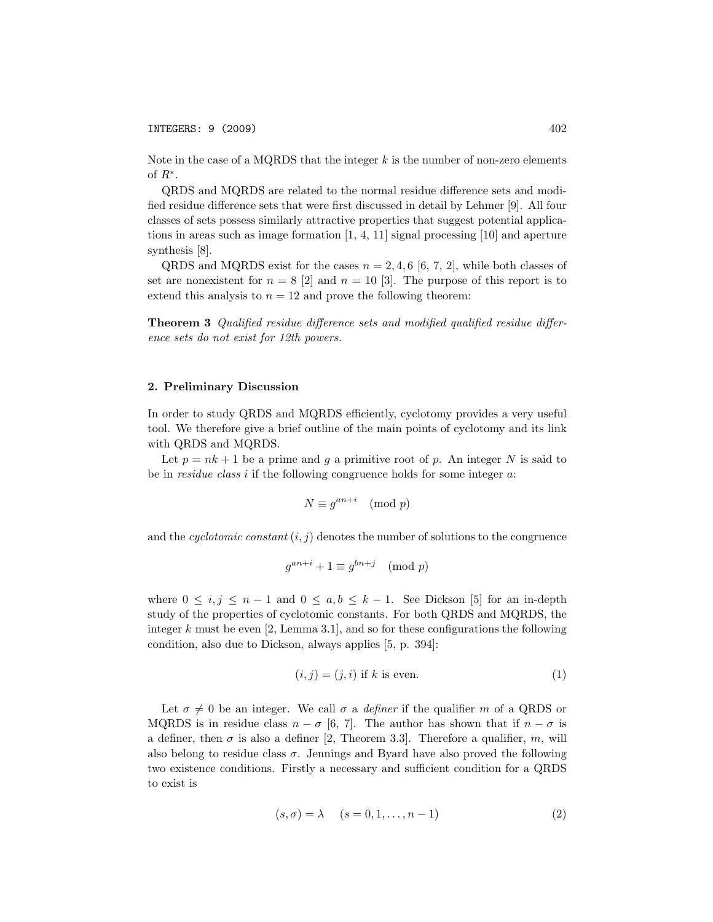Note in the case of a MQRDS that the integer *k* is the number of non-zero elements of *R*∗.

QRDS and MQRDS are related to the normal residue difference sets and modified residue difference sets that were first discussed in detail by Lehmer [9]. All four classes of sets possess similarly attractive properties that suggest potential applications in areas such as image formation [1, 4, 11] signal processing [10] and aperture synthesis [8].

QRDS and MQRDS exist for the cases  $n = 2, 4, 6 \, | \, 6, 7, 2 \, |$ , while both classes of set are nonexistent for  $n = 8$  [2] and  $n = 10$  [3]. The purpose of this report is to extend this analysis to  $n = 12$  and prove the following theorem:

Theorem 3 *Qualified residue di*ff*erence sets and modified qualified residue di*ff*erence sets do not exist for 12th powers.*

## 2. Preliminary Discussion

In order to study QRDS and MQRDS efficiently, cyclotomy provides a very useful tool. We therefore give a brief outline of the main points of cyclotomy and its link with QRDS and MQRDS.

Let  $p = nk + 1$  be a prime and g a primitive root of p. An integer N is said to be in *residue class i* if the following congruence holds for some integer *a*:

$$
N \equiv g^{an+i} \pmod{p}
$$

and the *cyclotomic constant*  $(i, j)$  denotes the number of solutions to the congruence

$$
g^{an+i} + 1 \equiv g^{bn+j} \pmod{p}
$$

where  $0 \leq i, j \leq n-1$  and  $0 \leq a, b \leq k-1$ . See Dickson [5] for an in-depth study of the properties of cyclotomic constants. For both QRDS and MQRDS, the integer *k* must be even [2, Lemma 3.1], and so for these configurations the following condition, also due to Dickson, always applies [5, p. 394]:

$$
(i,j) = (j,i) \text{ if } k \text{ is even.} \tag{1}
$$

Let  $\sigma \neq 0$  be an integer. We call  $\sigma$  a *definer* if the qualifier *m* of a QRDS or MQRDS is in residue class  $n - \sigma$  [6, 7]. The author has shown that if  $n - \sigma$  is a definer, then  $\sigma$  is also a definer [2, Theorem 3.3]. Therefore a qualifier,  $m$ , will also belong to residue class  $\sigma$ . Jennings and Byard have also proved the following two existence conditions. Firstly a necessary and sufficient condition for a QRDS to exist is

$$
(s,\sigma) = \lambda \quad (s = 0, 1, \dots, n-1)
$$
 (2)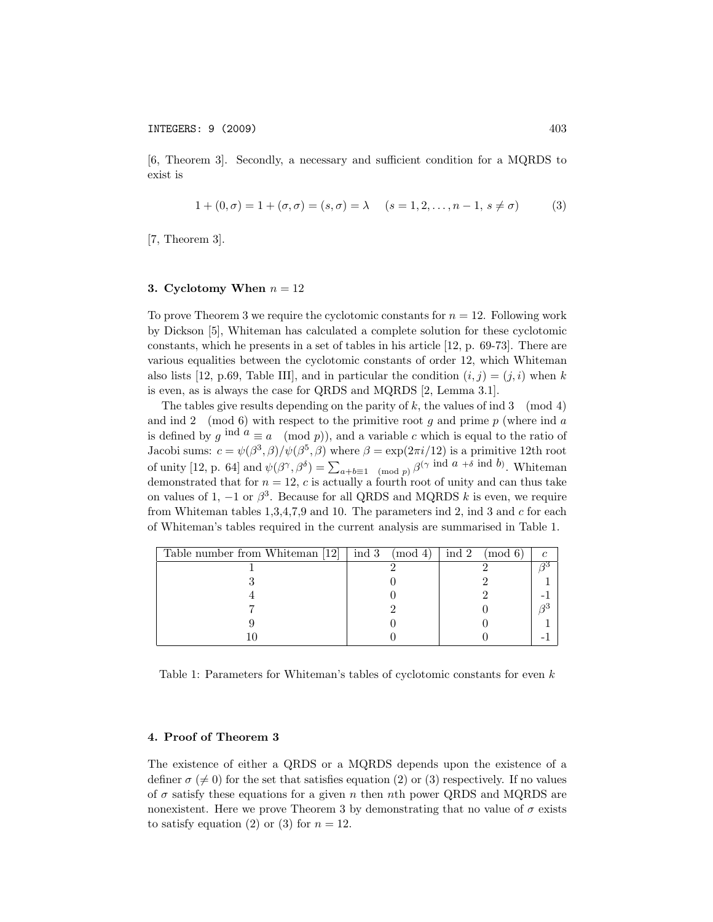[6, Theorem 3]. Secondly, a necessary and sufficient condition for a MQRDS to exist is

$$
1 + (0, \sigma) = 1 + (\sigma, \sigma) = (s, \sigma) = \lambda \quad (s = 1, 2, \dots, n - 1, s \neq \sigma)
$$
 (3)

[7, Theorem 3].

## 3. Cyclotomy When  $n = 12$

To prove Theorem 3 we require the cyclotomic constants for  $n = 12$ . Following work by Dickson [5], Whiteman has calculated a complete solution for these cyclotomic constants, which he presents in a set of tables in his article [12, p. 69-73]. There are various equalities between the cyclotomic constants of order 12, which Whiteman also lists [12, p.69, Table III], and in particular the condition  $(i, j) = (j, i)$  when k is even, as is always the case for QRDS and MQRDS [2, Lemma 3.1].

The tables give results depending on the parity of *k*, the values of ind 3 (mod 4) and ind 2 (mod 6) with respect to the primitive root *g* and prime *p* (where ind *a* is defined by  $q \text{ ind } a \equiv a \pmod{p}$ , and a variable  $c$  which is equal to the ratio of Jacobi sums:  $c = \psi(\beta^3, \beta)/\psi(\beta^5, \beta)$  where  $\beta = \exp(2\pi i/12)$  is a primitive 12th root of unity [12, p. 64] and  $\psi(\beta^{\gamma}, \beta^{\delta}) = \sum_{a+b=1 \pmod{p}} \beta^{(\gamma \text{ ind } a + \delta \text{ ind } b)}$ . Whiteman demonstrated that for  $n = 12$ ,  $c$  is actually a fourth root of unity and can thus take on values of 1,  $-1$  or  $\beta^3$ . Because for all QRDS and MQRDS *k* is even, we require from Whiteman tables 1,3,4,7,9 and 10. The parameters ind 2, ind 3 and *c* for each of Whiteman's tables required in the current analysis are summarised in Table 1.

| Table number from Whiteman [12] | ind 3<br>$\pmod{4}$ | ind 2<br>$\pmod{6}$ |  |
|---------------------------------|---------------------|---------------------|--|
|                                 |                     |                     |  |
|                                 |                     |                     |  |
|                                 |                     |                     |  |
|                                 |                     |                     |  |
|                                 |                     |                     |  |
|                                 |                     |                     |  |

Table 1: Parameters for Whiteman's tables of cyclotomic constants for even *k*

### 4. Proof of Theorem 3

The existence of either a QRDS or a MQRDS depends upon the existence of a definer  $\sigma \neq 0$  for the set that satisfies equation (2) or (3) respectively. If no values of σ satisfy these equations for a given *n* then *n*th power QRDS and MQRDS are nonexistent. Here we prove Theorem 3 by demonstrating that no value of  $\sigma$  exists to satisfy equation (2) or (3) for  $n = 12$ .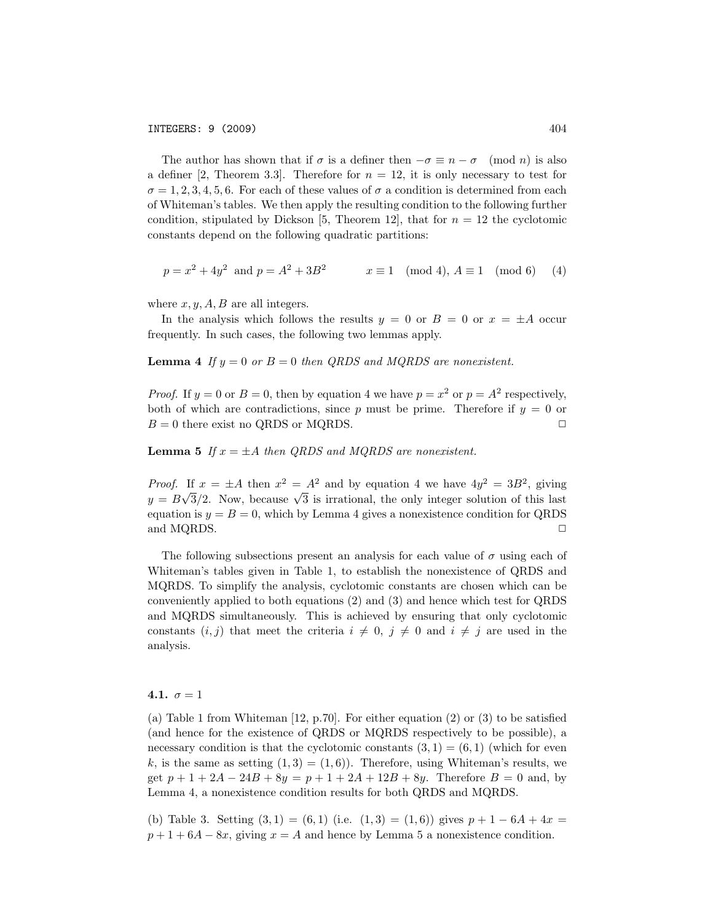The author has shown that if  $\sigma$  is a definer then  $-\sigma \equiv n - \sigma \pmod{n}$  is also a definer [2, Theorem 3.3]. Therefore for  $n = 12$ , it is only necessary to test for  $\sigma = 1, 2, 3, 4, 5, 6$ . For each of these values of  $\sigma$  a condition is determined from each of Whiteman's tables. We then apply the resulting condition to the following further condition, stipulated by Dickson [5, Theorem 12], that for  $n = 12$  the cyclotomic constants depend on the following quadratic partitions:

$$
p = x^2 + 4y^2
$$
 and  $p = A^2 + 3B^2$   $x \equiv 1 \pmod{4}, A \equiv 1 \pmod{6} \qquad (4)$ 

where  $x, y, A, B$  are all integers.

In the analysis which follows the results  $y = 0$  or  $B = 0$  or  $x = \pm A$  occur frequently. In such cases, the following two lemmas apply.

**Lemma 4** If  $y = 0$  or  $B = 0$  then QRDS and MQRDS are nonexistent.

*Proof.* If  $y = 0$  or  $B = 0$ , then by equation 4 we have  $p = x^2$  or  $p = A^2$  respectively, both of which are contradictions, since  $p$  must be prime. Therefore if  $y = 0$  or  $B = 0$  there exist no QRDS or MQRDS.  $\square$ 

**Lemma 5** If  $x = \pm A$  then QRDS and MQRDS are nonexistent.

*Proof.* If  $x = \pm A$  then  $x^2 = A^2$  and by equation 4 we have  $4y^2 = 3B^2$ , giving  $y = B\sqrt{3}/2$ . Now, because  $\sqrt{3}$  is irrational, the only integer solution of this last equation is  $y = B = 0$ , which by Lemma 4 gives a nonexistence condition for QRDS and MQRDS.  $\Box$ 

The following subsections present an analysis for each value of  $\sigma$  using each of Whiteman's tables given in Table 1, to establish the nonexistence of QRDS and MQRDS. To simplify the analysis, cyclotomic constants are chosen which can be conveniently applied to both equations (2) and (3) and hence which test for QRDS and MQRDS simultaneously. This is achieved by ensuring that only cyclotomic constants  $(i, j)$  that meet the criteria  $i \neq 0$ ,  $j \neq 0$  and  $i \neq j$  are used in the analysis.

#### 4.1.  $\sigma = 1$

(a) Table 1 from Whiteman [12, p.70]. For either equation (2) or (3) to be satisfied (and hence for the existence of QRDS or MQRDS respectively to be possible), a necessary condition is that the cyclotomic constants  $(3, 1) = (6, 1)$  (which for even  $k$ , is the same as setting  $(1,3) = (1,6)$ . Therefore, using Whiteman's results, we get  $p + 1 + 2A - 24B + 8y = p + 1 + 2A + 12B + 8y$ . Therefore  $B = 0$  and, by Lemma 4, a nonexistence condition results for both QRDS and MQRDS.

(b) Table 3. Setting  $(3,1) = (6,1)$  (i.e.  $(1,3) = (1,6)$ ) gives  $p+1-6A+4x =$  $p+1+6A-8x$ , giving  $x=A$  and hence by Lemma 5 a nonexistence condition.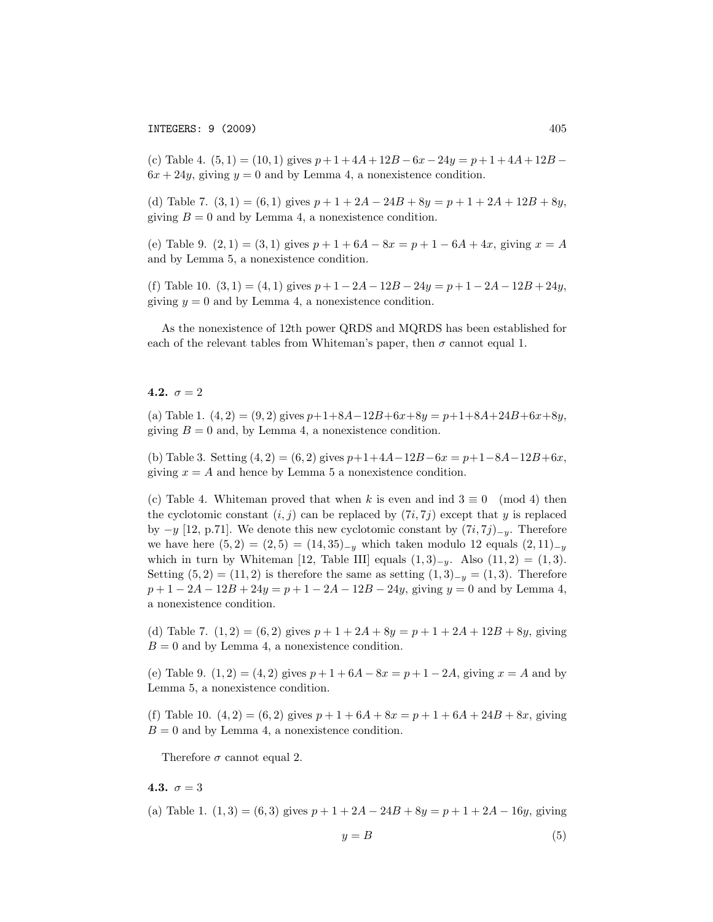(c) Table 4.  $(5,1) = (10,1)$  gives  $p+1+4A+12B-6x-24y = p+1+4A+12B 6x + 24y$ , giving  $y = 0$  and by Lemma 4, a nonexistence condition.

(d) Table 7.  $(3, 1) = (6, 1)$  gives  $p + 1 + 2A - 24B + 8y = p + 1 + 2A + 12B + 8y$ , giving  $B = 0$  and by Lemma 4, a nonexistence condition.

(e) Table 9.  $(2, 1) = (3, 1)$  gives  $p + 1 + 6A - 8x = p + 1 - 6A + 4x$ , giving  $x = A$ and by Lemma 5, a nonexistence condition.

(f) Table 10. (3*,* 1) = (4*,* 1) gives *p* + 1 − 2*A* − 12*B* − 24*y* = *p* + 1 − 2*A* − 12*B* + 24*y*, giving  $y = 0$  and by Lemma 4, a nonexistence condition.

As the nonexistence of 12th power QRDS and MQRDS has been established for each of the relevant tables from Whiteman's paper, then  $\sigma$  cannot equal 1.

### 4.2.  $\sigma = 2$

(a) Table 1.  $(4, 2) = (9, 2)$  gives  $p+1+8A-12B+6x+8y = p+1+8A+24B+6x+8y$ , giving  $B = 0$  and, by Lemma 4, a nonexistence condition.

(b) Table 3. Setting  $(4, 2) = (6, 2)$  gives  $p+1+4A-12B-6x = p+1-8A-12B+6x$ , giving  $x = A$  and hence by Lemma 5 a nonexistence condition.

(c) Table 4. Whiteman proved that when k is even and ind  $3 \equiv 0 \pmod{4}$  then the cyclotomic constant  $(i, j)$  can be replaced by  $(7i, 7j)$  except that *y* is replaced by −*y* [12, p.71]. We denote this new cyclotomic constant by (7*i,* 7*j*)−*<sup>y</sup>*. Therefore we have here  $(5, 2) = (2, 5) = (14, 35)_{-y}$  which taken modulo 12 equals  $(2, 11)_{-y}$ which in turn by Whiteman [12, Table III] equals  $(1,3)_{-y}$ . Also  $(11,2) = (1,3)$ . Setting  $(5, 2) = (11, 2)$  is therefore the same as setting  $(1, 3)_{-y} = (1, 3)$ . Therefore *p* + 1 − 2*A* − 12*B* + 24*y* = *p* + 1 − 2*A* − 12*B* − 24*y*, giving *y* = 0 and by Lemma 4, a nonexistence condition.

(d) Table 7.  $(1, 2) = (6, 2)$  gives  $p + 1 + 2A + 8y = p + 1 + 2A + 12B + 8y$ , giving  $B = 0$  and by Lemma 4, a nonexistence condition.

(e) Table 9.  $(1, 2) = (4, 2)$  gives  $p + 1 + 6A - 8x = p + 1 - 2A$ , giving  $x = A$  and by Lemma 5, a nonexistence condition.

(f) Table 10.  $(4, 2) = (6, 2)$  gives  $p + 1 + 6A + 8x = p + 1 + 6A + 24B + 8x$ , giving  $B = 0$  and by Lemma 4, a nonexistence condition.

Therefore  $\sigma$  cannot equal 2.

# 4.3.  $\sigma = 3$

(a) Table 1.  $(1, 3) = (6, 3)$  gives  $p + 1 + 2A - 24B + 8y = p + 1 + 2A - 16y$ , giving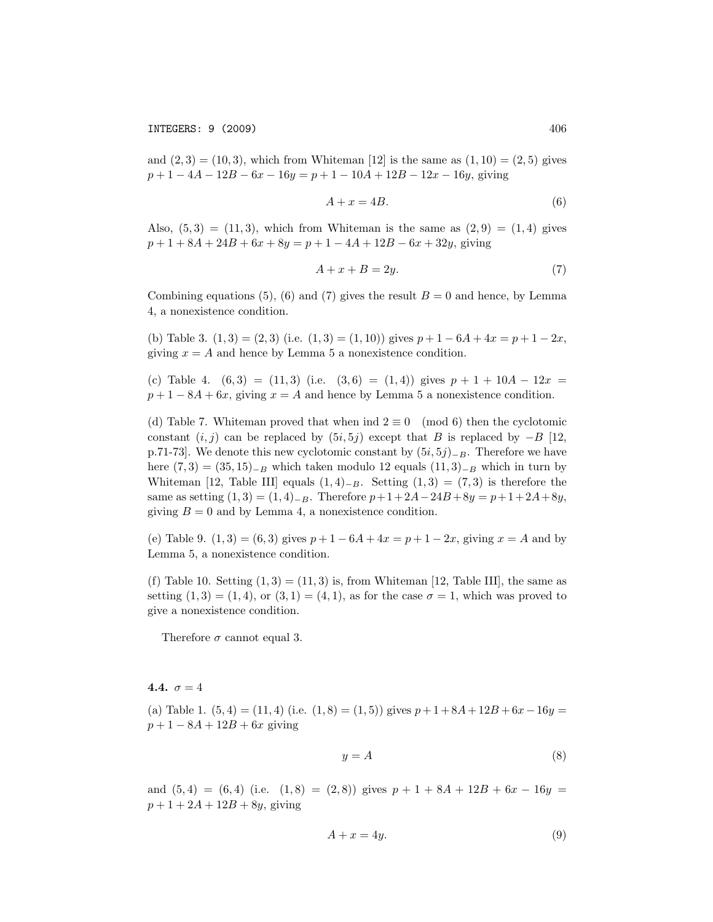and  $(2,3) = (10,3)$ , which from Whiteman [12] is the same as  $(1,10) = (2,5)$  gives *p* + 1 − 4*A* − 12*B* − 6*x* − 16*y* = *p* + 1 − 10*A* + 12*B* − 12*x* − 16*y*, giving

$$
A + x = 4B.\t\t(6)
$$

Also,  $(5,3) = (11,3)$ , which from Whiteman is the same as  $(2,9) = (1,4)$  gives *p* + 1 + 8*A* + 24*B* + 6*x* + 8*y* = *p* + 1 − 4*A* + 12*B* − 6*x* + 32*y*, giving

$$
A + x + B = 2y.\t\t(7)
$$

Combining equations (5), (6) and (7) gives the result  $B = 0$  and hence, by Lemma 4, a nonexistence condition.

(b) Table 3.  $(1,3) = (2,3)$  (i.e.  $(1,3) = (1,10)$ ) gives  $p+1-6A+4x = p+1-2x$ , giving  $x = A$  and hence by Lemma 5 a nonexistence condition.

(c) Table 4.  $(6,3) = (11,3)$  (i.e.  $(3,6) = (1,4)$ ) gives  $p + 1 + 10A - 12x =$  $p+1-8A+6x$ , giving  $x=A$  and hence by Lemma 5 a nonexistence condition.

(d) Table 7. Whiteman proved that when ind  $2 \equiv 0 \pmod{6}$  then the cyclotomic constant  $(i, j)$  can be replaced by  $(5i, 5j)$  except that *B* is replaced by  $-B$  [12, p.71-73]. We denote this new cyclotomic constant by (5*i,* 5*j*)−*<sup>B</sup>*. Therefore we have here  $(7, 3) = (35, 15)$ <sub>−*B*</sub> which taken modulo 12 equals  $(11, 3)$ <sub>−*B*</sub> which in turn by Whiteman [12, Table III] equals  $(1,4)_{-B}$ . Setting  $(1,3) = (7,3)$  is therefore the same as setting  $(1,3) = (1,4)_{-B}$ . Therefore  $p+1+2A-24B+8y = p+1+2A+8y$ , giving  $B = 0$  and by Lemma 4, a nonexistence condition.

(e) Table 9.  $(1,3) = (6,3)$  gives  $p+1-6A+4x = p+1-2x$ , giving  $x = A$  and by Lemma 5, a nonexistence condition.

(f) Table 10. Setting  $(1,3) = (11,3)$  is, from Whiteman [12, Table III], the same as setting  $(1,3) = (1,4)$ , or  $(3,1) = (4,1)$ , as for the case  $\sigma = 1$ , which was proved to give a nonexistence condition.

Therefore  $\sigma$  cannot equal 3.

4.4.  $\sigma = 4$ 

(a) Table 1.  $(5, 4) = (11, 4)$  (i.e.  $(1, 8) = (1, 5)$ ) gives  $p + 1 + 8A + 12B + 6x - 16y =$  $p + 1 - 8A + 12B + 6x$  giving

$$
y = A \tag{8}
$$

and  $(5,4) = (6,4)$  (i.e.  $(1,8) = (2,8)$ ) gives  $p + 1 + 8A + 12B + 6x - 16y =$  $p + 1 + 2A + 12B + 8y$ , giving

$$
A + x = 4y.\t\t(9)
$$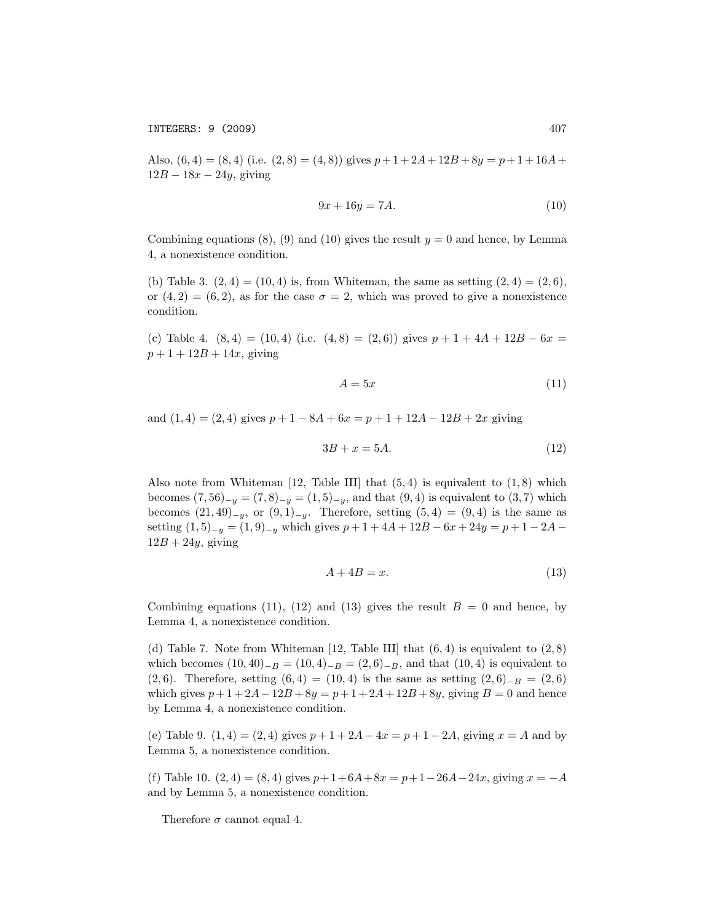Also,  $(6, 4) = (8, 4)$  (i.e.  $(2, 8) = (4, 8)$ ) gives  $p+1+2A+12B+8y = p+1+16A+$  $12B - 18x - 24y$ , giving

$$
9x + 16y = 7A.\tag{10}
$$

Combining equations  $(8)$ ,  $(9)$  and  $(10)$  gives the result  $y = 0$  and hence, by Lemma 4, a nonexistence condition.

(b) Table 3.  $(2, 4) = (10, 4)$  is, from Whiteman, the same as setting  $(2, 4) = (2, 6)$ , or  $(4, 2) = (6, 2)$ , as for the case  $\sigma = 2$ , which was proved to give a nonexistence condition.

(c) Table 4.  $(8,4) = (10,4)$  (i.e.  $(4,8) = (2,6)$ ) gives  $p + 1 + 4A + 12B - 6x =$  $p + 1 + 12B + 14x$ , giving

$$
A = 5x \tag{11}
$$

and  $(1, 4) = (2, 4)$  gives  $p + 1 - 8A + 6x = p + 1 + 12A - 12B + 2x$  giving

$$
3B + x = 5A.\t(12)
$$

Also note from Whiteman [12, Table III] that (5*,* 4) is equivalent to (1*,* 8) which becomes  $(7, 56)_{-y} = (7, 8)_{-y} = (1, 5)_{-y}$ , and that  $(9, 4)$  is equivalent to  $(3, 7)$  which becomes  $(21, 49)_{-y}$ , or  $(9, 1)_{-y}$ . Therefore, setting  $(5, 4) = (9, 4)$  is the same as setting  $(1,5)_{-y} = (1,9)_{-y}$  which gives  $p+1+4A+12B-6x+24y = p+1-2A 12B + 24y$ , giving

$$
A + 4B = x.\t(13)
$$

Combining equations (11), (12) and (13) gives the result  $B = 0$  and hence, by Lemma 4, a nonexistence condition.

(d) Table 7. Note from Whiteman [12, Table III] that (6*,* 4) is equivalent to (2*,* 8) which becomes  $(10, 40)_{-B} = (10, 4)_{-B} = (2, 6)_{-B}$ , and that  $(10, 4)$  is equivalent to (2*,* 6). Therefore, setting  $(6,4) = (10,4)$  is the same as setting  $(2,6)_{-B} = (2,6)$ which gives  $p + 1 + 2A - 12B + 8y = p + 1 + 2A + 12B + 8y$ , giving  $B = 0$  and hence by Lemma 4, a nonexistence condition.

(e) Table 9.  $(1, 4) = (2, 4)$  gives  $p + 1 + 2A - 4x = p + 1 - 2A$ , giving  $x = A$  and by Lemma 5, a nonexistence condition.

(f) Table 10.  $(2, 4) = (8, 4)$  gives  $p+1+6A+8x = p+1-26A-24x$ , giving  $x = -A$ and by Lemma 5, a nonexistence condition.

Therefore  $\sigma$  cannot equal 4.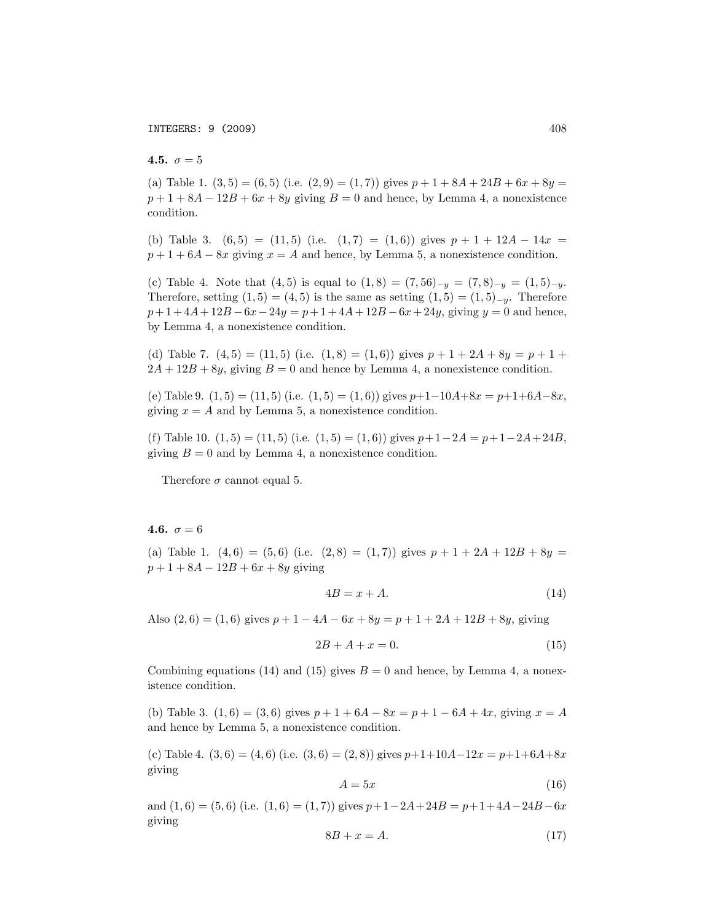# 4.5.  $\sigma = 5$

(a) Table 1.  $(3,5) = (6,5)$  (i.e.  $(2,9) = (1,7)$ ) gives  $p + 1 + 8A + 24B + 6x + 8y =$  $p+1+8A-12B+6x+8y$  giving  $B=0$  and hence, by Lemma 4, a nonexistence condition.

(b) Table 3.  $(6,5) = (11,5)$  (i.e.  $(1,7) = (1,6)$ ) gives  $p + 1 + 12A - 14x =$  $p+1+6A-8x$  giving  $x=A$  and hence, by Lemma 5, a nonexistence condition.

(c) Table 4. Note that  $(4,5)$  is equal to  $(1,8) = (7,56)_{-\nu} = (7,8)_{-\nu} = (1,5)_{-\nu}$ . Therefore, setting  $(1,5) = (4,5)$  is the same as setting  $(1,5) = (1,5)_{-\nu}$ . Therefore  $p+1+4A+12B-6x-24y = p+1+4A+12B-6x+24y$ , giving  $y=0$  and hence, by Lemma 4, a nonexistence condition.

(d) Table 7.  $(4,5) = (11,5)$  (i.e.  $(1,8) = (1,6)$ ) gives  $p + 1 + 2A + 8y = p + 1 +$  $2A + 12B + 8y$ , giving  $B = 0$  and hence by Lemma 4, a nonexistence condition.

(e) Table 9.  $(1, 5) = (11, 5)$  (i.e.  $(1, 5) = (1, 6)$ ) gives  $p+1-10A+8x = p+1+6A-8x$ , giving  $x = A$  and by Lemma 5, a nonexistence condition.

(f) Table 10.  $(1,5) = (11,5)$  (i.e.  $(1,5) = (1,6)$ ) gives  $p+1-2A = p+1-2A+24B$ , giving  $B = 0$  and by Lemma 4, a nonexistence condition.

Therefore  $\sigma$  cannot equal 5.

### 4.6.  $\sigma = 6$

(a) Table 1.  $(4, 6) = (5, 6)$  (i.e.  $(2, 8) = (1, 7)$ ) gives  $p + 1 + 2A + 12B + 8y =$ *p* + 1 + 8*A* − 12*B* + 6*x* + 8*y* giving

$$
4B = x + A.\tag{14}
$$

Also  $(2, 6) = (1, 6)$  gives  $p + 1 - 4A - 6x + 8y = p + 1 + 2A + 12B + 8y$ , giving

$$
2B + A + x = 0.\t(15)
$$

Combining equations (14) and (15) gives  $B = 0$  and hence, by Lemma 4, a nonexistence condition.

(b) Table 3.  $(1, 6) = (3, 6)$  gives  $p + 1 + 6A - 8x = p + 1 - 6A + 4x$ , giving  $x = A$ and hence by Lemma 5, a nonexistence condition.

(c) Table 4.  $(3, 6) = (4, 6)$  (i.e.  $(3, 6) = (2, 8)$ ) gives  $p+1+10A-12x = p+1+6A+8x$ giving

$$
A = 5x \tag{16}
$$

and  $(1,6) = (5,6)$  (i.e.  $(1,6) = (1,7)$ ) gives  $p+1-2A+24B = p+1+4A-24B-6x$ giving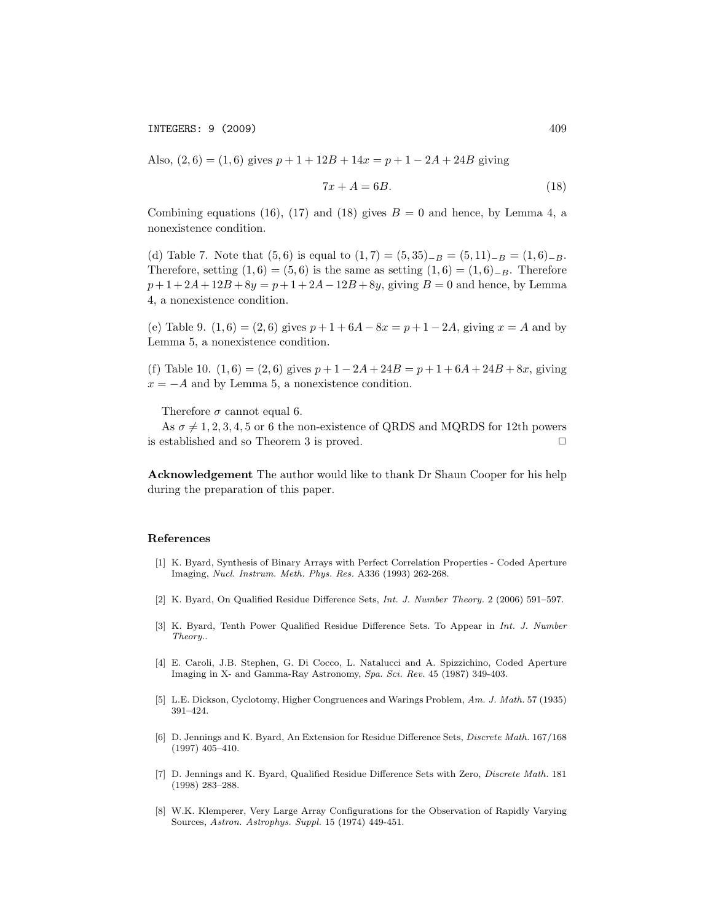Also,  $(2, 6) = (1, 6)$  gives  $p + 1 + 12B + 14x = p + 1 - 2A + 24B$  giving

$$
7x + A = 6B.\t(18)
$$

Combining equations (16), (17) and (18) gives  $B = 0$  and hence, by Lemma 4, a nonexistence condition.

(d) Table 7. Note that  $(5,6)$  is equal to  $(1,7) = (5,35)_{-B} = (5,11)_{-B} = (1,6)_{-B}$ . Therefore, setting  $(1,6) = (5,6)$  is the same as setting  $(1,6) = (1,6)_{-B}$ . Therefore  $p+1+2A+12B+8y = p+1+2A-12B+8y$ , giving  $B=0$  and hence, by Lemma 4, a nonexistence condition.

(e) Table 9.  $(1, 6) = (2, 6)$  gives  $p + 1 + 6A - 8x = p + 1 - 2A$ , giving  $x = A$  and by Lemma 5, a nonexistence condition.

(f) Table 10.  $(1, 6) = (2, 6)$  gives  $p + 1 - 2A + 24B = p + 1 + 6A + 24B + 8x$ , giving  $x = -A$  and by Lemma 5, a nonexistence condition.

Therefore  $\sigma$  cannot equal 6.

As  $\sigma \neq 1, 2, 3, 4, 5$  or 6 the non-existence of QRDS and MQRDS for 12th powers established and so Theorem 3 is proved. is established and so Theorem 3 is proved.

Acknowledgement The author would like to thank Dr Shaun Cooper for his help during the preparation of this paper.

## References

- [1] K. Byard, Synthesis of Binary Arrays with Perfect Correlation Properties Coded Aperture Imaging, *Nucl. Instrum. Meth. Phys. Res.* A336 (1993) 262-268.
- [2] K. Byard, On Qualified Residue Difference Sets, *Int. J. Number Theory.* 2 (2006) 591–597.
- [3] K. Byard, Tenth Power Qualified Residue Difference Sets. To Appear in *Int. J. Number Theory.*.
- [4] E. Caroli, J.B. Stephen, G. Di Cocco, L. Natalucci and A. Spizzichino, Coded Aperture Imaging in X- and Gamma-Ray Astronomy, *Spa. Sci. Rev.* 45 (1987) 349-403.
- [5] L.E. Dickson, Cyclotomy, Higher Congruences and Warings Problem, *Am. J. Math.* 57 (1935) 391–424.
- [6] D. Jennings and K. Byard, An Extension for Residue Difference Sets, *Discrete Math.* 167/168 (1997) 405–410.
- [7] D. Jennings and K. Byard, Qualified Residue Difference Sets with Zero, *Discrete Math.* 181 (1998) 283–288.
- [8] W.K. Klemperer, Very Large Array Configurations for the Observation of Rapidly Varying Sources, *Astron. Astrophys. Suppl.* 15 (1974) 449-451.